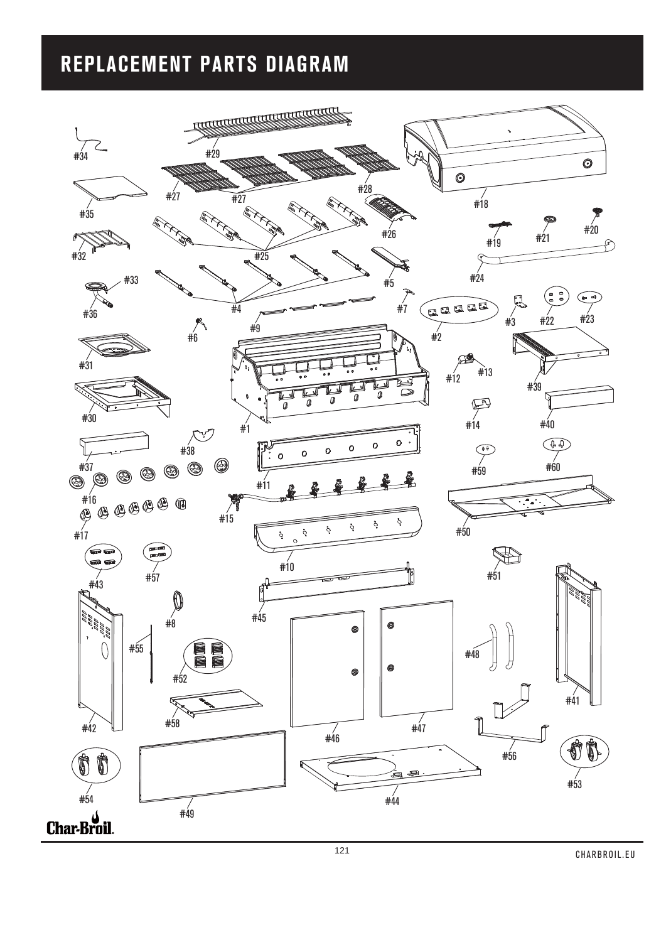## **REPLACEMENT PARTS DIAGRAM**